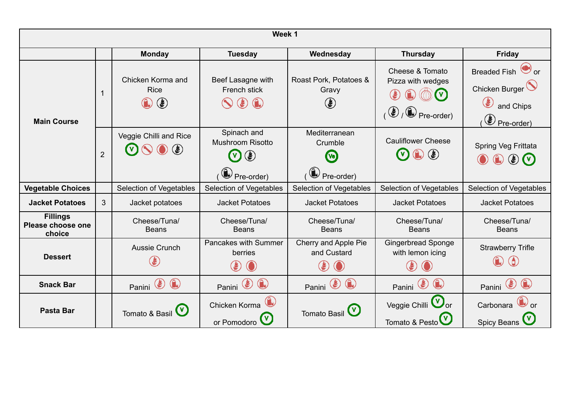| Week 1                                         |                |                                                                    |                                                                                                             |                                                                                                 |                                                                                                                             |                                                                        |
|------------------------------------------------|----------------|--------------------------------------------------------------------|-------------------------------------------------------------------------------------------------------------|-------------------------------------------------------------------------------------------------|-----------------------------------------------------------------------------------------------------------------------------|------------------------------------------------------------------------|
|                                                |                | <b>Monday</b>                                                      | <b>Tuesday</b>                                                                                              | Wednesday                                                                                       | <b>Thursday</b>                                                                                                             | <b>Friday</b>                                                          |
| <b>Main Course</b>                             | $\mathbf{1}$   | Chicken Korma and<br><b>Rice</b><br>$\textcircled{\small{f}}$<br>◈ | Beef Lasagne with<br>French stick<br>$\circledast$<br>$\bigodot$                                            | Roast Pork, Potatoes &<br>Gravy<br>۴                                                            | Cheese & Tomato<br>Pizza with wedges<br>$\sqrt{2}$ Pre-order)<br>$\circledast$                                              | Breaded Fish or<br>Chicken Burger<br>E<br>and Chips<br>Pre-order)      |
|                                                | $\overline{2}$ | Veggie Chilli and Rice<br>$\circledast$                            | Spinach and<br>Mushroom Risotto<br>$\circledast$<br>$\bigcirc$ Pre-order)                                   | Mediterranean<br>Crumble<br><b>Vo</b><br>(e) Pre-order)                                         | <b>Cauliflower Cheese</b><br>$\bigcirc$<br>$\circledast$<br>$\mathbf{v}$                                                    | Spring Veg Frittata<br>$\bigodot$<br>$\circledast$ $\circlearrowright$ |
| <b>Vegetable Choices</b>                       |                | Selection of Vegetables                                            | Selection of Vegetables                                                                                     | Selection of Vegetables                                                                         | Selection of Vegetables                                                                                                     | Selection of Vegetables                                                |
| <b>Jacket Potatoes</b>                         | 3              | Jacket potatoes                                                    | <b>Jacket Potatoes</b>                                                                                      | <b>Jacket Potatoes</b>                                                                          | <b>Jacket Potatoes</b>                                                                                                      | <b>Jacket Potatoes</b>                                                 |
| <b>Fillings</b><br>Please choose one<br>choice |                | Cheese/Tuna/<br><b>Beans</b>                                       | Cheese/Tuna/<br><b>Beans</b>                                                                                | Cheese/Tuna/<br><b>Beans</b>                                                                    | Cheese/Tuna/<br><b>Beans</b>                                                                                                | Cheese/Tuna/<br><b>Beans</b>                                           |
| <b>Dessert</b>                                 |                | Aussie Crunch<br>١                                                 | Pancakes with Summer<br>berries<br>$\left( \begin{smallmatrix} \bullet \ \bullet \end{smallmatrix} \right)$ | Cherry and Apple Pie<br>and Custard<br>$\left(\begin{smallmatrix} \psi\end{smallmatrix}\right)$ | <b>Gingerbread Sponge</b><br>with lemon icing<br>$\left(\boldsymbol{\ell}\right)$                                           | <b>Strawberry Trifle</b><br>6                                          |
| <b>Snack Bar</b>                               |                | G<br>৻€<br>Panini                                                  | Panini <sup>2</sup><br>$\bigcirc$                                                                           | $\left( \begin{matrix} 1\\ 1\end{matrix} \right)$<br>৻€<br>Panini                               | $\left( \begin{smallmatrix} \bullet & \bullet & \bullet \\ \bullet & \bullet & \bullet \end{smallmatrix} \right)$<br>Panini | ৻€<br>Panini                                                           |
| <b>Pasta Bar</b>                               |                | Tomato & Basil (V)                                                 | Chicken Korma<br>or Pomodoro                                                                                | <b>Tomato Basil</b>                                                                             | Veggie Chilli V<br>Tomato & Pesto                                                                                           | Carbonara<br><b>Spicy Beans</b>                                        |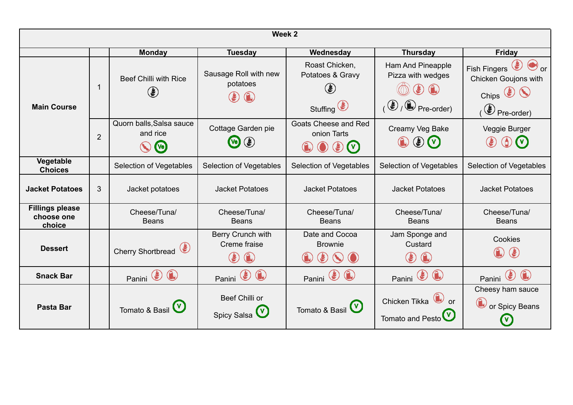| Week 2                                         |                |                                                                          |                                                                                                         |                                                                                                              |                                                                                                                                        |                                                                                                              |
|------------------------------------------------|----------------|--------------------------------------------------------------------------|---------------------------------------------------------------------------------------------------------|--------------------------------------------------------------------------------------------------------------|----------------------------------------------------------------------------------------------------------------------------------------|--------------------------------------------------------------------------------------------------------------|
|                                                |                | <b>Monday</b>                                                            | <b>Tuesday</b>                                                                                          | Wednesday                                                                                                    | <b>Thursday</b>                                                                                                                        | Friday                                                                                                       |
| <b>Main Course</b>                             |                | <b>Beef Chilli with Rice</b><br>۴                                        | Sausage Roll with new<br>potatoes<br>$\left(\begin{smallmatrix}\bm{y}\\ \bm{y}\end{smallmatrix}\right)$ | Roast Chicken,<br>Potatoes & Gravy<br>$\left( \epsilon \right)$<br>Stuffing <sup>(<math>\bullet</math></sup> | <b>Ham And Pineapple</b><br>Pizza with wedges<br>$\circledast$ $\circledast$<br>$\mathcal{O}_1$ $\bigoplus$ $\mathcal{O}_2$ Pre-order) | $\bigcirc$ or<br><b>Fish Fingers</b><br>Chicken Goujons with<br>Chips $\bigcirc$<br>$\circledast$ Pre-order) |
|                                                | $\overline{2}$ | Quorn balls, Salsa sauce<br>and rice<br>$\mathbf{v}_e$                   | Cottage Garden pie<br>$\left( \frac{1}{2} \right)$<br>$\boldsymbol{\omega}$                             | Goats Cheese and Red<br>onion Tarts<br>$\mathbf{F}$<br>$\mathbf{v}$                                          | Creamy Veg Bake<br>$\circledast$ (v)                                                                                                   | Veggie Burger<br>$\mathbf U$                                                                                 |
| Vegetable<br><b>Choices</b>                    |                | Selection of Vegetables                                                  | <b>Selection of Vegetables</b>                                                                          | Selection of Vegetables                                                                                      | <b>Selection of Vegetables</b>                                                                                                         | Selection of Vegetables                                                                                      |
| <b>Jacket Potatoes</b>                         | 3              | Jacket potatoes                                                          | <b>Jacket Potatoes</b>                                                                                  | <b>Jacket Potatoes</b>                                                                                       | <b>Jacket Potatoes</b>                                                                                                                 | <b>Jacket Potatoes</b>                                                                                       |
| <b>Fillings please</b><br>choose one<br>choice |                | Cheese/Tuna/<br><b>Beans</b>                                             | Cheese/Tuna/<br><b>Beans</b>                                                                            | Cheese/Tuna/<br><b>Beans</b>                                                                                 | Cheese/Tuna/<br><b>Beans</b>                                                                                                           | Cheese/Tuna/<br><b>Beans</b>                                                                                 |
| <b>Dessert</b>                                 |                | Cherry Shortbread                                                        | Berry Crunch with<br>Creme fraise<br>$\bigcirc$<br>$\left(\stackrel{u}{\bullet}\right)$                 | Date and Cocoa<br><b>Brownie</b><br>$\left( \begin{smallmatrix} \psi \ \psi \end{smallmatrix} \right)$       | Jam Sponge and<br>Custard<br>$\left( \frac{\partial f}{\partial x_{i}}\right)$                                                         | Cookies<br>$\left( \frac{\partial f}{\partial x_{i}}\right)$                                                 |
| <b>Snack Bar</b>                               |                | $\left(\begin{matrix} 1\\ 1\end{matrix}\right)$<br>Panini <sup>(2)</sup> | $\left( \begin{matrix} 1 \\ 0 \end{matrix} \right)$<br>$\circledast$<br>Panini                          | Panini <sup>(2)</sup>                                                                                        | $\left(\begin{matrix} 1\\ 1\end{matrix}\right)$<br>Panini <sup>(2)</sup>                                                               | Panini                                                                                                       |
| <b>Pasta Bar</b>                               |                | Tomato & Basil V                                                         | Beef Chilli or<br>Spicy Salsa                                                                           | Tomato & Basil (V)                                                                                           | $\bigcirc$ or<br>Chicken Tikka<br>Tomato and Pesto                                                                                     | Cheesy ham sauce<br>or Spicy Beans                                                                           |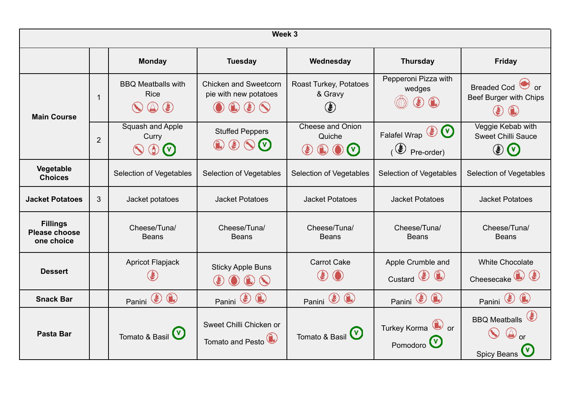| Week 3                                                |                |                                                                                                                                |                                                                     |                                                                    |                                                          |                                                                                                                |
|-------------------------------------------------------|----------------|--------------------------------------------------------------------------------------------------------------------------------|---------------------------------------------------------------------|--------------------------------------------------------------------|----------------------------------------------------------|----------------------------------------------------------------------------------------------------------------|
|                                                       |                | <b>Monday</b>                                                                                                                  | <b>Tuesday</b>                                                      | Wednesday                                                          | <b>Thursday</b>                                          | <b>Friday</b>                                                                                                  |
| <b>Main Course</b>                                    | $\mathbf 1$    | <b>BBQ Meatballs with</b><br><b>Rice</b><br>$\left( \begin{smallmatrix} \bullet \ \bullet \end{smallmatrix} \right)$<br>$\sum$ | <b>Chicken and Sweetcorn</b><br>pie with new potatoes<br>$\bigcirc$ | Roast Turkey, Potatoes<br>& Gravy<br>$\left(\clubsuit\right)$      | Pepperoni Pizza with<br>wedges                           | <b>Breaded Cod</b><br>or<br>Beef Burger with Chips<br>$\left(\begin{smallmatrix} \psi\end{smallmatrix}\right)$ |
|                                                       | $\overline{2}$ | Squash and Apple<br>Curry<br>$\bigcirc$<br>$(\vee)$                                                                            | <b>Stuffed Peppers</b><br>$\circledast$<br>$\mathbf{v}$             | <b>Cheese and Onion</b><br>Quiche<br>$\mathbf{v}$<br>$(\clubsuit)$ | Falafel Wrap (<br>$\circ$ Pre-order)                     | Veggie Kebab with<br><b>Sweet Chilli Sauce</b><br>$\circledast$ $\circledast$                                  |
| Vegetable<br><b>Choices</b>                           |                | <b>Selection of Vegetables</b>                                                                                                 | Selection of Vegetables                                             | <b>Selection of Vegetables</b>                                     | <b>Selection of Vegetables</b>                           | <b>Selection of Vegetables</b>                                                                                 |
| <b>Jacket Potatoes</b>                                | 3              | Jacket potatoes                                                                                                                | <b>Jacket Potatoes</b>                                              | <b>Jacket Potatoes</b>                                             | <b>Jacket Potatoes</b>                                   | <b>Jacket Potatoes</b>                                                                                         |
| <b>Fillings</b><br><b>Please choose</b><br>one choice |                | Cheese/Tuna/<br><b>Beans</b>                                                                                                   | Cheese/Tuna/<br><b>Beans</b>                                        | Cheese/Tuna/<br><b>Beans</b>                                       | Cheese/Tuna/<br><b>Beans</b>                             | Cheese/Tuna/<br><b>Beans</b>                                                                                   |
| <b>Dessert</b>                                        |                | <b>Apricot Flapjack</b>                                                                                                        | <b>Sticky Apple Buns</b><br>$\circledcirc$                          | <b>Carrot Cake</b>                                                 | Apple Crumble and<br>Custard $\bigcirc$ $\bigcirc$       | <b>White Chocolate</b><br>Cheesecake <sup>(a)</sup>                                                            |
| <b>Snack Bar</b>                                      |                | (€<br>Panini                                                                                                                   | Panini <sup>(2)</sup>                                               | Panini <sup>(2)</sup>                                              | Panini <sup>(2)</sup>                                    | $\left( \frac{1}{2} \right)$<br>Panini                                                                         |
| Pasta Bar                                             |                | Tomato & Basil (V)                                                                                                             | Sweet Chilli Chicken or<br>Tomato and Pesto <sup>(1)</sup>          | Tomato & Basil (V)                                                 | Turkey Korma <sup>(a)</sup> or<br>Pomodoro <sup>(V</sup> | <b>BBQ Meatballs</b><br><b>Spicy Beans</b>                                                                     |